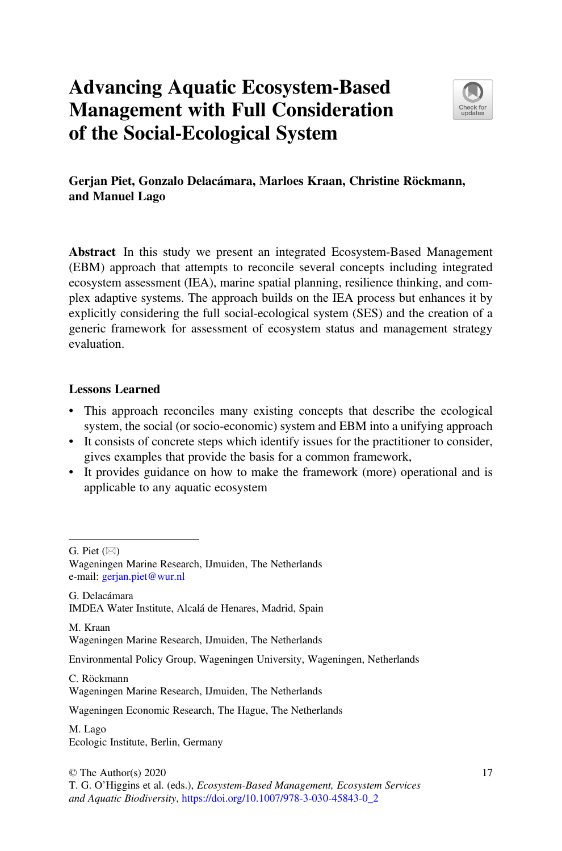# Advancing Aquatic Ecosystem-Based Management with Full Consideration of the Social-Ecological System



## Gerjan Piet, Gonzalo Delacámara, Marloes Kraan, Christine Röckmann, and Manuel Lago

Abstract In this study we present an integrated Ecosystem-Based Management (EBM) approach that attempts to reconcile several concepts including integrated ecosystem assessment (IEA), marine spatial planning, resilience thinking, and complex adaptive systems. The approach builds on the IEA process but enhances it by explicitly considering the full social-ecological system (SES) and the creation of a generic framework for assessment of ecosystem status and management strategy evaluation.

#### Lessons Learned

- This approach reconciles many existing concepts that describe the ecological system, the social (or socio-economic) system and EBM into a unifying approach
- It consists of concrete steps which identify issues for the practitioner to consider, gives examples that provide the basis for a common framework,
- It provides guidance on how to make the framework (more) operational and is applicable to any aquatic ecosystem

G. Piet  $(\boxtimes)$ 

- G. Delacámara IMDEA Water Institute, Alcalá de Henares, Madrid, Spain
- M. Kraan Wageningen Marine Research, IJmuiden, The Netherlands
- Environmental Policy Group, Wageningen University, Wageningen, Netherlands

C. Röckmann Wageningen Marine Research, IJmuiden, The Netherlands

Wageningen Economic Research, The Hague, The Netherlands

M. Lago Ecologic Institute, Berlin, Germany

Wageningen Marine Research, IJmuiden, The Netherlands e-mail: [gerjan.piet@wur.nl](mailto:gerjan.piet@wur.nl)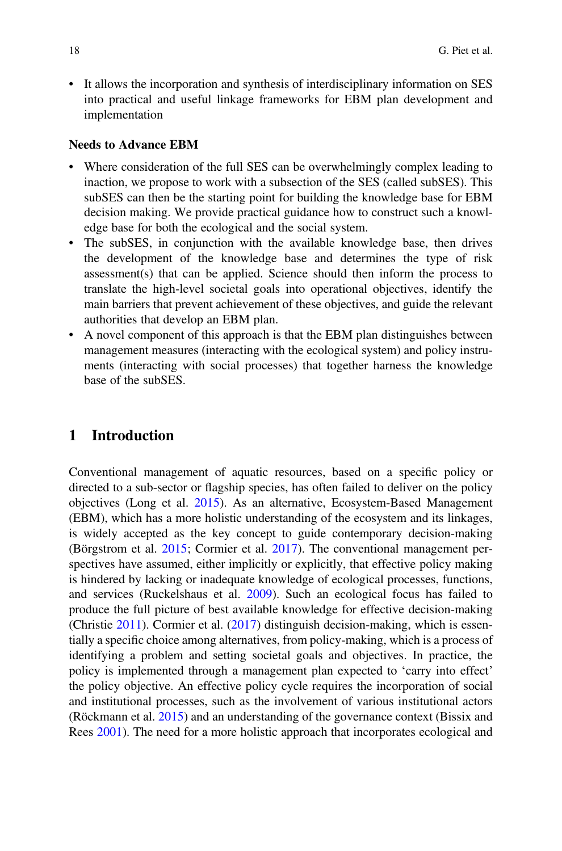• It allows the incorporation and synthesis of interdisciplinary information on SES into practical and useful linkage frameworks for EBM plan development and implementation

#### Needs to Advance EBM

- Where consideration of the full SES can be overwhelmingly complex leading to inaction, we propose to work with a subsection of the SES (called subSES). This subSES can then be the starting point for building the knowledge base for EBM decision making. We provide practical guidance how to construct such a knowledge base for both the ecological and the social system.
- The subSES, in conjunction with the available knowledge base, then drives the development of the knowledge base and determines the type of risk assessment(s) that can be applied. Science should then inform the process to translate the high-level societal goals into operational objectives, identify the main barriers that prevent achievement of these objectives, and guide the relevant authorities that develop an EBM plan.
- A novel component of this approach is that the EBM plan distinguishes between management measures (interacting with the ecological system) and policy instruments (interacting with social processes) that together harness the knowledge base of the subSES.

#### 1 Introduction

Conventional management of aquatic resources, based on a specific policy or directed to a sub-sector or flagship species, has often failed to deliver on the policy objectives (Long et al. [2015\)](#page-19-0). As an alternative, Ecosystem-Based Management (EBM), which has a more holistic understanding of the ecosystem and its linkages, is widely accepted as the key concept to guide contemporary decision-making (Börgstrom et al. [2015;](#page-17-0) Cormier et al. [2017\)](#page-17-1). The conventional management perspectives have assumed, either implicitly or explicitly, that effective policy making is hindered by lacking or inadequate knowledge of ecological processes, functions, and services (Ruckelshaus et al. [2009\)](#page-19-1). Such an ecological focus has failed to produce the full picture of best available knowledge for effective decision-making (Christie [2011](#page-17-2)). Cormier et al. ([2017\)](#page-17-1) distinguish decision-making, which is essentially a specific choice among alternatives, from policy-making, which is a process of identifying a problem and setting societal goals and objectives. In practice, the policy is implemented through a management plan expected to 'carry into effect' the policy objective. An effective policy cycle requires the incorporation of social and institutional processes, such as the involvement of various institutional actors (Röckmann et al. [2015\)](#page-19-2) and an understanding of the governance context (Bissix and Rees [2001\)](#page-17-3). The need for a more holistic approach that incorporates ecological and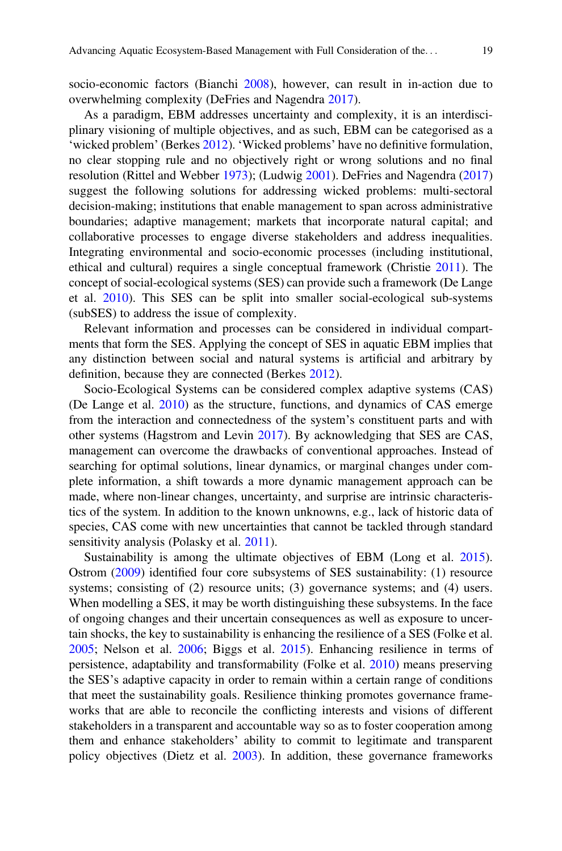socio-economic factors (Bianchi [2008\)](#page-17-4), however, can result in in-action due to overwhelming complexity (DeFries and Nagendra [2017\)](#page-17-5).

As a paradigm, EBM addresses uncertainty and complexity, it is an interdisciplinary visioning of multiple objectives, and as such, EBM can be categorised as a 'wicked problem' (Berkes [2012\)](#page-17-6). 'Wicked problems' have no definitive formulation, no clear stopping rule and no objectively right or wrong solutions and no final resolution (Rittel and Webber [1973](#page-19-3)); (Ludwig [2001](#page-19-4)). DeFries and Nagendra [\(2017](#page-17-5)) suggest the following solutions for addressing wicked problems: multi-sectoral decision-making; institutions that enable management to span across administrative boundaries; adaptive management; markets that incorporate natural capital; and collaborative processes to engage diverse stakeholders and address inequalities. Integrating environmental and socio-economic processes (including institutional, ethical and cultural) requires a single conceptual framework (Christie [2011\)](#page-17-2). The concept of social-ecological systems (SES) can provide such a framework (De Lange et al. [2010\)](#page-17-7). This SES can be split into smaller social-ecological sub-systems (subSES) to address the issue of complexity.

Relevant information and processes can be considered in individual compartments that form the SES. Applying the concept of SES in aquatic EBM implies that any distinction between social and natural systems is artificial and arbitrary by definition, because they are connected (Berkes [2012](#page-17-6)).

Socio-Ecological Systems can be considered complex adaptive systems (CAS) (De Lange et al. [2010](#page-17-7)) as the structure, functions, and dynamics of CAS emerge from the interaction and connectedness of the system's constituent parts and with other systems (Hagstrom and Levin [2017\)](#page-18-0). By acknowledging that SES are CAS, management can overcome the drawbacks of conventional approaches. Instead of searching for optimal solutions, linear dynamics, or marginal changes under complete information, a shift towards a more dynamic management approach can be made, where non-linear changes, uncertainty, and surprise are intrinsic characteristics of the system. In addition to the known unknowns, e.g., lack of historic data of species, CAS come with new uncertainties that cannot be tackled through standard sensitivity analysis (Polasky et al. [2011](#page-19-5)).

Sustainability is among the ultimate objectives of EBM (Long et al. [2015\)](#page-19-0). Ostrom [\(2009](#page-19-6)) identified four core subsystems of SES sustainability: (1) resource systems; consisting of (2) resource units; (3) governance systems; and (4) users. When modelling a SES, it may be worth distinguishing these subsystems. In the face of ongoing changes and their uncertain consequences as well as exposure to uncertain shocks, the key to sustainability is enhancing the resilience of a SES (Folke et al. [2005;](#page-18-1) Nelson et al. [2006](#page-19-7); Biggs et al. [2015\)](#page-17-8). Enhancing resilience in terms of persistence, adaptability and transformability (Folke et al. [2010\)](#page-18-2) means preserving the SES's adaptive capacity in order to remain within a certain range of conditions that meet the sustainability goals. Resilience thinking promotes governance frameworks that are able to reconcile the conflicting interests and visions of different stakeholders in a transparent and accountable way so as to foster cooperation among them and enhance stakeholders' ability to commit to legitimate and transparent policy objectives (Dietz et al. [2003\)](#page-17-9). In addition, these governance frameworks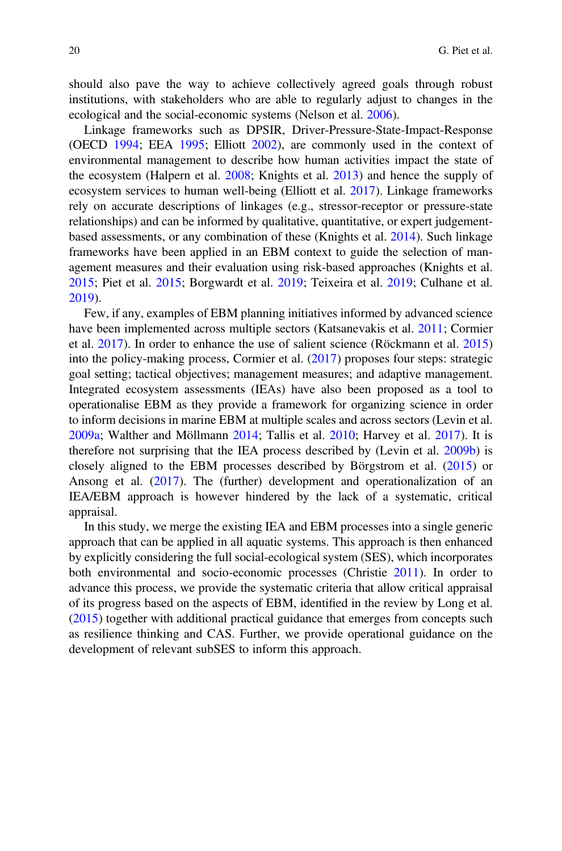should also pave the way to achieve collectively agreed goals through robust institutions, with stakeholders who are able to regularly adjust to changes in the ecological and the social-economic systems (Nelson et al. [2006\)](#page-19-7).

Linkage frameworks such as DPSIR, Driver-Pressure-State-Impact-Response (OECD [1994;](#page-19-8) EEA [1995](#page-17-10); Elliott [2002\)](#page-17-11), are commonly used in the context of environmental management to describe how human activities impact the state of the ecosystem (Halpern et al. [2008](#page-18-3); Knights et al. [2013\)](#page-18-4) and hence the supply of ecosystem services to human well-being (Elliott et al. [2017\)](#page-18-5). Linkage frameworks rely on accurate descriptions of linkages (e.g., stressor-receptor or pressure-state relationships) and can be informed by qualitative, quantitative, or expert judgementbased assessments, or any combination of these (Knights et al. [2014](#page-18-6)). Such linkage frameworks have been applied in an EBM context to guide the selection of management measures and their evaluation using risk-based approaches (Knights et al. [2015;](#page-18-7) Piet et al. [2015](#page-19-9); Borgwardt et al. [2019](#page-17-12); Teixeira et al. [2019;](#page-20-0) Culhane et al. [2019\)](#page-17-13).

Few, if any, examples of EBM planning initiatives informed by advanced science have been implemented across multiple sectors (Katsanevakis et al. [2011;](#page-18-8) Cormier et al. [2017\)](#page-17-1). In order to enhance the use of salient science (Röckmann et al. [2015](#page-19-2)) into the policy-making process, Cormier et al. ([2017\)](#page-17-1) proposes four steps: strategic goal setting; tactical objectives; management measures; and adaptive management. Integrated ecosystem assessments (IEAs) have also been proposed as a tool to operationalise EBM as they provide a framework for organizing science in order to inform decisions in marine EBM at multiple scales and across sectors (Levin et al. [2009a](#page-18-9); Walther and Möllmann [2014](#page-20-1); Tallis et al. [2010;](#page-20-2) Harvey et al. [2017](#page-18-10)). It is therefore not surprising that the IEA process described by (Levin et al. [2009b](#page-19-10)) is closely aligned to the EBM processes described by Börgstrom et al. ([2015\)](#page-17-0) or Ansong et al. [\(2017](#page-16-0)). The (further) development and operationalization of an IEA/EBM approach is however hindered by the lack of a systematic, critical appraisal.

In this study, we merge the existing IEA and EBM processes into a single generic approach that can be applied in all aquatic systems. This approach is then enhanced by explicitly considering the full social-ecological system (SES), which incorporates both environmental and socio-economic processes (Christie [2011\)](#page-17-2). In order to advance this process, we provide the systematic criteria that allow critical appraisal of its progress based on the aspects of EBM, identified in the review by Long et al. [\(2015](#page-19-0)) together with additional practical guidance that emerges from concepts such as resilience thinking and CAS. Further, we provide operational guidance on the development of relevant subSES to inform this approach.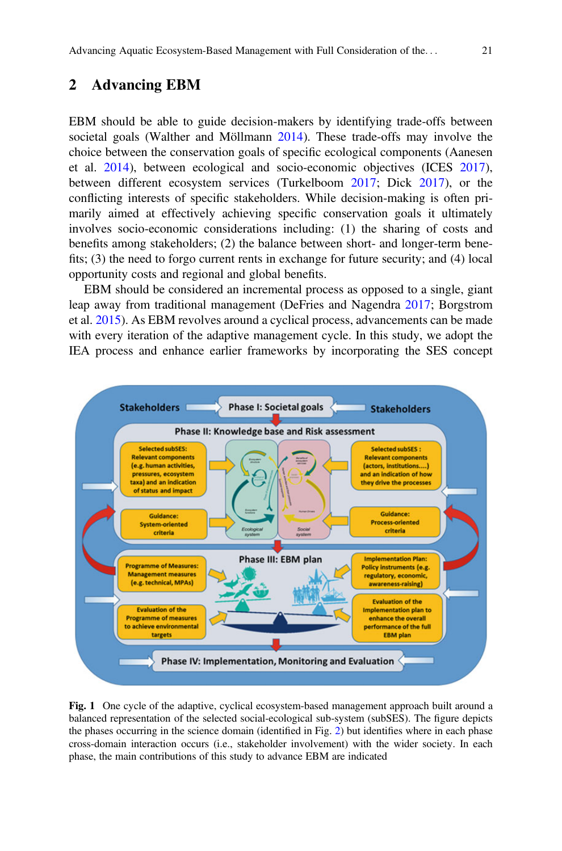### 2 Advancing EBM

EBM should be able to guide decision-makers by identifying trade-offs between societal goals (Walther and Möllmann [2014](#page-20-1)). These trade-offs may involve the choice between the conservation goals of specific ecological components (Aanesen et al. [2014](#page-16-1)), between ecological and socio-economic objectives (ICES [2017\)](#page-18-11), between different ecosystem services (Turkelboom [2017;](#page-20-3) Dick [2017\)](#page-17-14), or the conflicting interests of specific stakeholders. While decision-making is often primarily aimed at effectively achieving specific conservation goals it ultimately involves socio-economic considerations including: (1) the sharing of costs and benefits among stakeholders; (2) the balance between short- and longer-term benefits; (3) the need to forgo current rents in exchange for future security; and (4) local opportunity costs and regional and global benefits.

EBM should be considered an incremental process as opposed to a single, giant leap away from traditional management (DeFries and Nagendra [2017;](#page-17-5) Borgstrom et al. [2015\)](#page-17-0). As EBM revolves around a cyclical process, advancements can be made with every iteration of the adaptive management cycle. In this study, we adopt the IEA process and enhance earlier frameworks by incorporating the SES concept

<span id="page-4-0"></span>

Fig. 1 One cycle of the adaptive, cyclical ecosystem-based management approach built around a balanced representation of the selected social-ecological sub-system (subSES). The figure depicts the phases occurring in the science domain (identified in Fig. [2](#page-6-0)) but identifies where in each phase cross-domain interaction occurs (i.e., stakeholder involvement) with the wider society. In each phase, the main contributions of this study to advance EBM are indicated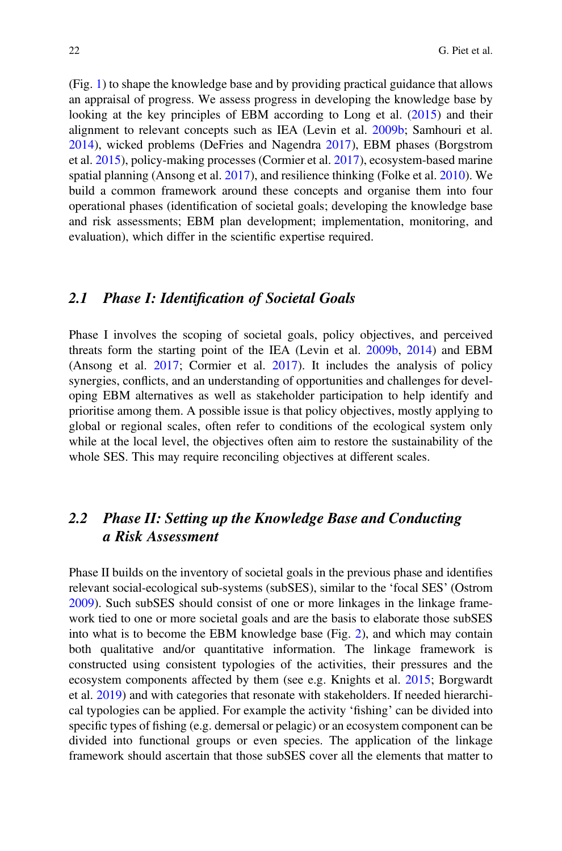(Fig. [1\)](#page-4-0) to shape the knowledge base and by providing practical guidance that allows an appraisal of progress. We assess progress in developing the knowledge base by looking at the key principles of EBM according to Long et al. ([2015\)](#page-19-0) and their alignment to relevant concepts such as IEA (Levin et al. [2009b](#page-19-10); Samhouri et al. [2014\)](#page-19-11), wicked problems (DeFries and Nagendra [2017\)](#page-17-5), EBM phases (Borgstrom et al. [2015\)](#page-17-0), policy-making processes (Cormier et al. [2017](#page-17-1)), ecosystem-based marine spatial planning (Ansong et al. [2017\)](#page-16-0), and resilience thinking (Folke et al. [2010\)](#page-18-2). We build a common framework around these concepts and organise them into four operational phases (identification of societal goals; developing the knowledge base and risk assessments; EBM plan development; implementation, monitoring, and evaluation), which differ in the scientific expertise required.

#### 2.1 Phase I: Identification of Societal Goals

Phase I involves the scoping of societal goals, policy objectives, and perceived threats form the starting point of the IEA (Levin et al. [2009b](#page-19-10), [2014](#page-19-12)) and EBM (Ansong et al. [2017](#page-16-0); Cormier et al. [2017](#page-17-1)). It includes the analysis of policy synergies, conflicts, and an understanding of opportunities and challenges for developing EBM alternatives as well as stakeholder participation to help identify and prioritise among them. A possible issue is that policy objectives, mostly applying to global or regional scales, often refer to conditions of the ecological system only while at the local level, the objectives often aim to restore the sustainability of the whole SES. This may require reconciling objectives at different scales.

## 2.2 Phase II: Setting up the Knowledge Base and Conducting a Risk Assessment

Phase II builds on the inventory of societal goals in the previous phase and identifies relevant social-ecological sub-systems (subSES), similar to the 'focal SES' (Ostrom [2009\)](#page-19-6). Such subSES should consist of one or more linkages in the linkage framework tied to one or more societal goals and are the basis to elaborate those subSES into what is to become the EBM knowledge base (Fig. [2\)](#page-6-0), and which may contain both qualitative and/or quantitative information. The linkage framework is constructed using consistent typologies of the activities, their pressures and the ecosystem components affected by them (see e.g. Knights et al. [2015](#page-18-7); Borgwardt et al. [2019](#page-17-12)) and with categories that resonate with stakeholders. If needed hierarchical typologies can be applied. For example the activity 'fishing' can be divided into specific types of fishing (e.g. demersal or pelagic) or an ecosystem component can be divided into functional groups or even species. The application of the linkage framework should ascertain that those subSES cover all the elements that matter to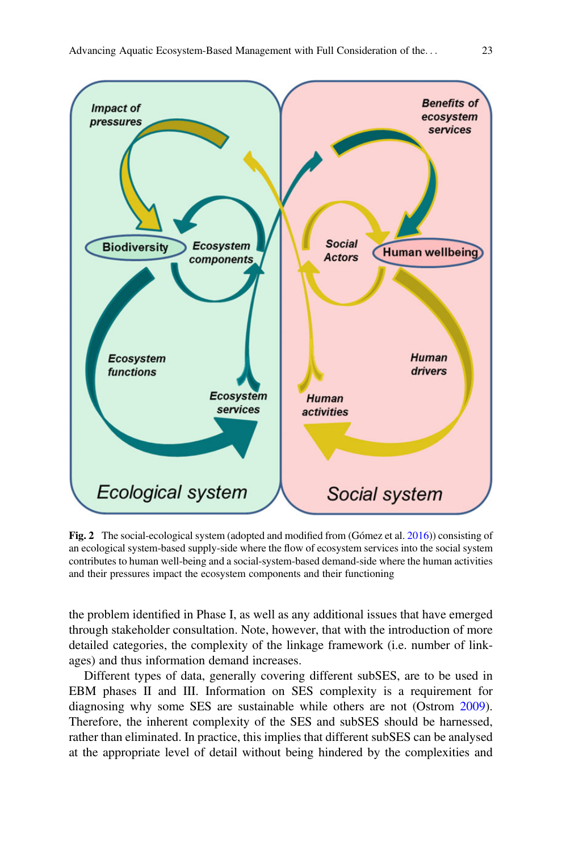<span id="page-6-0"></span>

Fig. 2 The social-ecological system (adopted and modified from (Gómez et al. [2016\)](#page-18-12)) consisting of an ecological system-based supply-side where the flow of ecosystem services into the social system contributes to human well-being and a social-system-based demand-side where the human activities and their pressures impact the ecosystem components and their functioning

the problem identified in Phase I, as well as any additional issues that have emerged through stakeholder consultation. Note, however, that with the introduction of more detailed categories, the complexity of the linkage framework (i.e. number of linkages) and thus information demand increases.

Different types of data, generally covering different subSES, are to be used in EBM phases II and III. Information on SES complexity is a requirement for diagnosing why some SES are sustainable while others are not (Ostrom [2009\)](#page-19-6). Therefore, the inherent complexity of the SES and subSES should be harnessed, rather than eliminated. In practice, this implies that different subSES can be analysed at the appropriate level of detail without being hindered by the complexities and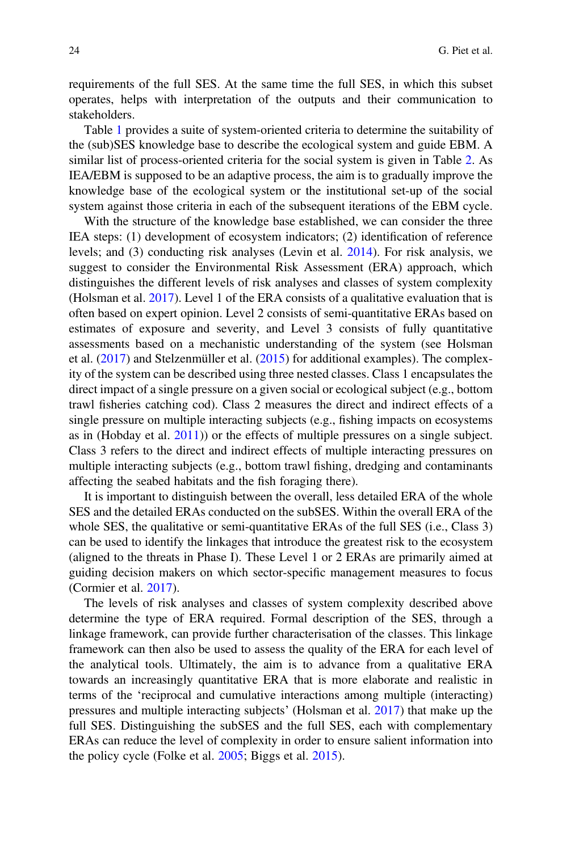requirements of the full SES. At the same time the full SES, in which this subset operates, helps with interpretation of the outputs and their communication to stakeholders.

Table [1](#page-8-0) provides a suite of system-oriented criteria to determine the suitability of the (sub)SES knowledge base to describe the ecological system and guide EBM. A similar list of process-oriented criteria for the social system is given in Table [2](#page-10-0). As IEA/EBM is supposed to be an adaptive process, the aim is to gradually improve the knowledge base of the ecological system or the institutional set-up of the social system against those criteria in each of the subsequent iterations of the EBM cycle.

With the structure of the knowledge base established, we can consider the three IEA steps: (1) development of ecosystem indicators; (2) identification of reference levels; and (3) conducting risk analyses (Levin et al. [2014\)](#page-19-12). For risk analysis, we suggest to consider the Environmental Risk Assessment (ERA) approach, which distinguishes the different levels of risk analyses and classes of system complexity (Holsman et al. [2017](#page-18-13)). Level 1 of the ERA consists of a qualitative evaluation that is often based on expert opinion. Level 2 consists of semi-quantitative ERAs based on estimates of exposure and severity, and Level 3 consists of fully quantitative assessments based on a mechanistic understanding of the system (see Holsman et al. ([2017\)](#page-18-13) and Stelzenmüller et al. [\(2015](#page-19-13)) for additional examples). The complexity of the system can be described using three nested classes. Class 1 encapsulates the direct impact of a single pressure on a given social or ecological subject (e.g., bottom trawl fisheries catching cod). Class 2 measures the direct and indirect effects of a single pressure on multiple interacting subjects (e.g., fishing impacts on ecosystems as in (Hobday et al. [2011](#page-18-14))) or the effects of multiple pressures on a single subject. Class 3 refers to the direct and indirect effects of multiple interacting pressures on multiple interacting subjects (e.g., bottom trawl fishing, dredging and contaminants affecting the seabed habitats and the fish foraging there).

It is important to distinguish between the overall, less detailed ERA of the whole SES and the detailed ERAs conducted on the subSES. Within the overall ERA of the whole SES, the qualitative or semi-quantitative ERAs of the full SES (i.e., Class 3) can be used to identify the linkages that introduce the greatest risk to the ecosystem (aligned to the threats in Phase I). These Level 1 or 2 ERAs are primarily aimed at guiding decision makers on which sector-specific management measures to focus (Cormier et al. [2017\)](#page-17-1).

The levels of risk analyses and classes of system complexity described above determine the type of ERA required. Formal description of the SES, through a linkage framework, can provide further characterisation of the classes. This linkage framework can then also be used to assess the quality of the ERA for each level of the analytical tools. Ultimately, the aim is to advance from a qualitative ERA towards an increasingly quantitative ERA that is more elaborate and realistic in terms of the 'reciprocal and cumulative interactions among multiple (interacting) pressures and multiple interacting subjects' (Holsman et al. [2017\)](#page-18-13) that make up the full SES. Distinguishing the subSES and the full SES, each with complementary ERAs can reduce the level of complexity in order to ensure salient information into the policy cycle (Folke et al. [2005;](#page-18-1) Biggs et al. [2015](#page-17-8)).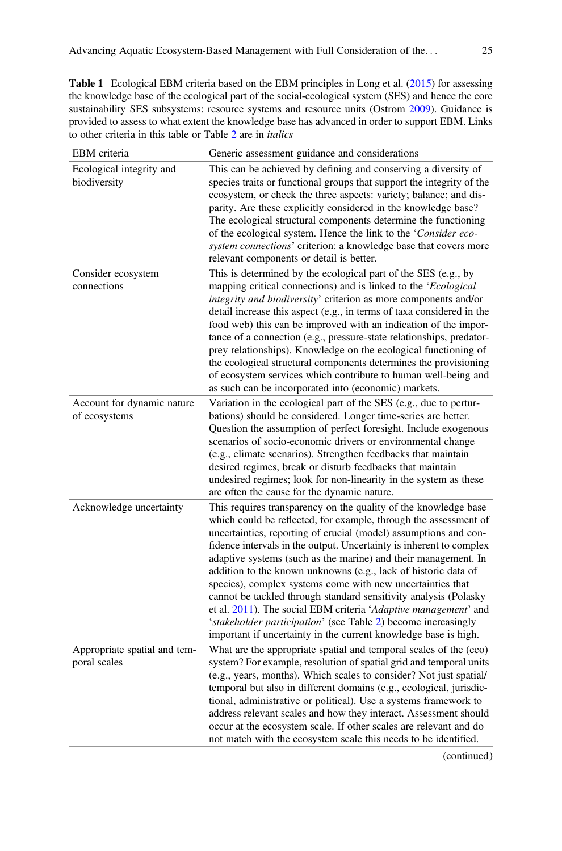<span id="page-8-0"></span>Table 1 Ecological EBM criteria based on the EBM principles in Long et al. ([2015\)](#page-19-0) for assessing the knowledge base of the ecological part of the social-ecological system (SES) and hence the core sustainability SES subsystems: resource systems and resource units (Ostrom [2009\)](#page-19-6). Guidance is provided to assess to what extent the knowledge base has advanced in order to support EBM. Links to other criteria in this table or Table [2](#page-10-0) are in italics

| EBM criteria                                 | Generic assessment guidance and considerations                                                                                                                                                                                                                                                                                                                                                                                                                                                                                                                                                                                                                                                                                                              |
|----------------------------------------------|-------------------------------------------------------------------------------------------------------------------------------------------------------------------------------------------------------------------------------------------------------------------------------------------------------------------------------------------------------------------------------------------------------------------------------------------------------------------------------------------------------------------------------------------------------------------------------------------------------------------------------------------------------------------------------------------------------------------------------------------------------------|
| Ecological integrity and<br>biodiversity     | This can be achieved by defining and conserving a diversity of<br>species traits or functional groups that support the integrity of the<br>ecosystem, or check the three aspects: variety; balance; and dis-<br>parity. Are these explicitly considered in the knowledge base?<br>The ecological structural components determine the functioning<br>of the ecological system. Hence the link to the 'Consider eco-<br>system connections' criterion: a knowledge base that covers more<br>relevant components or detail is better.                                                                                                                                                                                                                          |
| Consider ecosystem<br>connections            | This is determined by the ecological part of the SES (e.g., by<br>mapping critical connections) and is linked to the 'Ecological<br>integrity and biodiversity' criterion as more components and/or<br>detail increase this aspect (e.g., in terms of taxa considered in the<br>food web) this can be improved with an indication of the impor-<br>tance of a connection (e.g., pressure-state relationships, predator-<br>prey relationships). Knowledge on the ecological functioning of<br>the ecological structural components determines the provisioning<br>of ecosystem services which contribute to human well-being and<br>as such can be incorporated into (economic) markets.                                                                    |
| Account for dynamic nature<br>of ecosystems  | Variation in the ecological part of the SES (e.g., due to pertur-<br>bations) should be considered. Longer time-series are better.<br>Question the assumption of perfect foresight. Include exogenous<br>scenarios of socio-economic drivers or environmental change<br>(e.g., climate scenarios). Strengthen feedbacks that maintain<br>desired regimes, break or disturb feedbacks that maintain<br>undesired regimes; look for non-linearity in the system as these<br>are often the cause for the dynamic nature.                                                                                                                                                                                                                                       |
| Acknowledge uncertainty                      | This requires transparency on the quality of the knowledge base<br>which could be reflected, for example, through the assessment of<br>uncertainties, reporting of crucial (model) assumptions and con-<br>fidence intervals in the output. Uncertainty is inherent to complex<br>adaptive systems (such as the marine) and their management. In<br>addition to the known unknowns (e.g., lack of historic data of<br>species), complex systems come with new uncertainties that<br>cannot be tackled through standard sensitivity analysis (Polasky<br>et al. 2011). The social EBM criteria 'Adaptive management' and<br>'stakeholder participation' (see Table 2) become increasingly<br>important if uncertainty in the current knowledge base is high. |
| Appropriate spatial and tem-<br>poral scales | What are the appropriate spatial and temporal scales of the (eco)<br>system? For example, resolution of spatial grid and temporal units<br>(e.g., years, months). Which scales to consider? Not just spatial/<br>temporal but also in different domains (e.g., ecological, jurisdic-<br>tional, administrative or political). Use a systems framework to<br>address relevant scales and how they interact. Assessment should<br>occur at the ecosystem scale. If other scales are relevant and do<br>not match with the ecosystem scale this needs to be identified.                                                                                                                                                                                        |

(continued)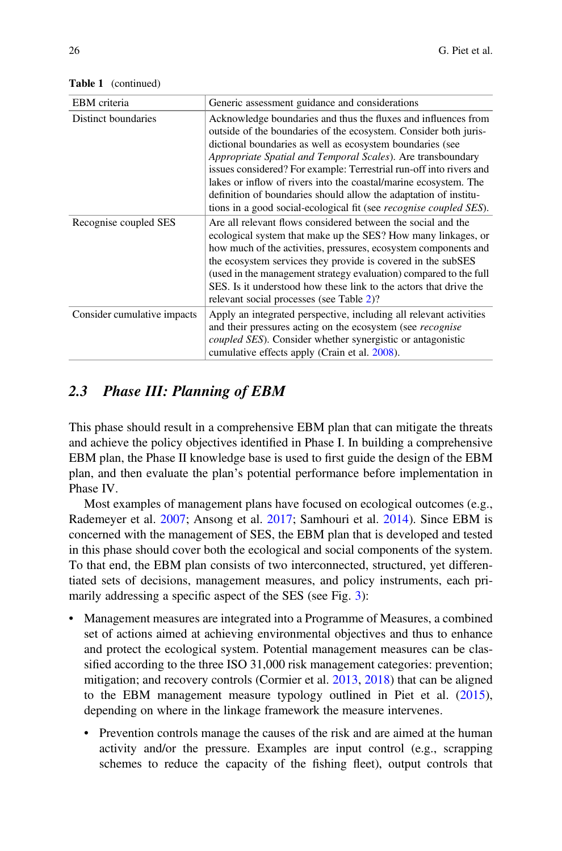| EBM criteria                | Generic assessment guidance and considerations                                                                                                                                                                                                                                                                                                                                                                                                                                                                                                              |  |  |
|-----------------------------|-------------------------------------------------------------------------------------------------------------------------------------------------------------------------------------------------------------------------------------------------------------------------------------------------------------------------------------------------------------------------------------------------------------------------------------------------------------------------------------------------------------------------------------------------------------|--|--|
| Distinct boundaries         | Acknowledge boundaries and thus the fluxes and influences from<br>outside of the boundaries of the ecosystem. Consider both juris-<br>dictional boundaries as well as ecosystem boundaries (see<br>Appropriate Spatial and Temporal Scales). Are transboundary<br>issues considered? For example: Terrestrial run-off into rivers and<br>lakes or inflow of rivers into the coastal/marine ecosystem. The<br>definition of boundaries should allow the adaptation of institu-<br>tions in a good social-ecological fit (see <i>recognise coupled SES</i> ). |  |  |
| Recognise coupled SES       | Are all relevant flows considered between the social and the<br>ecological system that make up the SES? How many linkages, or<br>how much of the activities, pressures, ecosystem components and<br>the ecosystem services they provide is covered in the subSES<br>(used in the management strategy evaluation) compared to the full<br>SES. Is it understood how these link to the actors that drive the<br>relevant social processes (see Table 2)?                                                                                                      |  |  |
| Consider cumulative impacts | Apply an integrated perspective, including all relevant activities<br>and their pressures acting on the ecosystem (see <i>recognise</i><br><i>coupled SES</i> ). Consider whether synergistic or antagonistic<br>cumulative effects apply (Crain et al. 2008).                                                                                                                                                                                                                                                                                              |  |  |

Table 1 (continued)

## 2.3 Phase III: Planning of EBM

This phase should result in a comprehensive EBM plan that can mitigate the threats and achieve the policy objectives identified in Phase I. In building a comprehensive EBM plan, the Phase II knowledge base is used to first guide the design of the EBM plan, and then evaluate the plan's potential performance before implementation in Phase IV.

Most examples of management plans have focused on ecological outcomes (e.g., Rademeyer et al. [2007](#page-19-14); Ansong et al. [2017;](#page-16-0) Samhouri et al. [2014\)](#page-19-11). Since EBM is concerned with the management of SES, the EBM plan that is developed and tested in this phase should cover both the ecological and social components of the system. To that end, the EBM plan consists of two interconnected, structured, yet differentiated sets of decisions, management measures, and policy instruments, each pri-marily addressing a specific aspect of the SES (see Fig. [3\)](#page-12-0):

- Management measures are integrated into a Programme of Measures, a combined set of actions aimed at achieving environmental objectives and thus to enhance and protect the ecological system. Potential management measures can be classified according to the three ISO 31,000 risk management categories: prevention; mitigation; and recovery controls (Cormier et al. [2013](#page-17-15), [2018](#page-17-16)) that can be aligned to the EBM management measure typology outlined in Piet et al. ([2015\)](#page-19-9), depending on where in the linkage framework the measure intervenes.
	- Prevention controls manage the causes of the risk and are aimed at the human activity and/or the pressure. Examples are input control (e.g., scrapping schemes to reduce the capacity of the fishing fleet), output controls that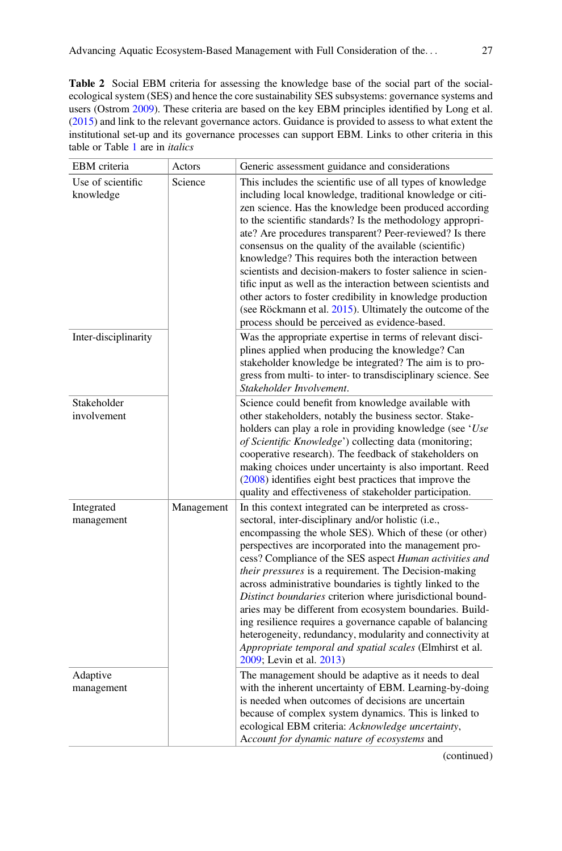<span id="page-10-0"></span>Table 2 Social EBM criteria for assessing the knowledge base of the social part of the socialecological system (SES) and hence the core sustainability SES subsystems: governance systems and users (Ostrom [2009\)](#page-19-6). These criteria are based on the key EBM principles identified by Long et al. ([2015\)](#page-19-0) and link to the relevant governance actors. Guidance is provided to assess to what extent the institutional set-up and its governance processes can support EBM. Links to other criteria in this table or Table  $1$  are in *italics* 

| EBM criteria                   | Actors     | Generic assessment guidance and considerations                                                                                                                                                                                                                                                                                                                                                                                                                                                                                                                                                                                                                                                                                                                 |
|--------------------------------|------------|----------------------------------------------------------------------------------------------------------------------------------------------------------------------------------------------------------------------------------------------------------------------------------------------------------------------------------------------------------------------------------------------------------------------------------------------------------------------------------------------------------------------------------------------------------------------------------------------------------------------------------------------------------------------------------------------------------------------------------------------------------------|
| Use of scientific<br>knowledge | Science    | This includes the scientific use of all types of knowledge<br>including local knowledge, traditional knowledge or citi-<br>zen science. Has the knowledge been produced according<br>to the scientific standards? Is the methodology appropri-<br>ate? Are procedures transparent? Peer-reviewed? Is there<br>consensus on the quality of the available (scientific)<br>knowledge? This requires both the interaction between<br>scientists and decision-makers to foster salience in scien-<br>tific input as well as the interaction between scientists and<br>other actors to foster credibility in knowledge production<br>(see Röckmann et al. $2015$ ). Ultimately the outcome of the<br>process should be perceived as evidence-based.                  |
| Inter-disciplinarity           |            | Was the appropriate expertise in terms of relevant disci-<br>plines applied when producing the knowledge? Can<br>stakeholder knowledge be integrated? The aim is to pro-<br>gress from multi- to inter- to transdisciplinary science. See<br>Stakeholder Involvement.                                                                                                                                                                                                                                                                                                                                                                                                                                                                                          |
| Stakeholder<br>involvement     |            | Science could benefit from knowledge available with<br>other stakeholders, notably the business sector. Stake-<br>holders can play a role in providing knowledge (see 'Use<br>of Scientific Knowledge') collecting data (monitoring;<br>cooperative research). The feedback of stakeholders on<br>making choices under uncertainty is also important. Reed<br>(2008) identifies eight best practices that improve the<br>quality and effectiveness of stakeholder participation.                                                                                                                                                                                                                                                                               |
| Integrated<br>management       | Management | In this context integrated can be interpreted as cross-<br>sectoral, inter-disciplinary and/or holistic (i.e.,<br>encompassing the whole SES). Which of these (or other)<br>perspectives are incorporated into the management pro-<br>cess? Compliance of the SES aspect Human activities and<br>their pressures is a requirement. The Decision-making<br>across administrative boundaries is tightly linked to the<br>Distinct boundaries criterion where jurisdictional bound-<br>aries may be different from ecosystem boundaries. Build-<br>ing resilience requires a governance capable of balancing<br>heterogeneity, redundancy, modularity and connectivity at<br>Appropriate temporal and spatial scales (Elmhirst et al.<br>2009; Levin et al. 2013) |
| Adaptive<br>management         |            | The management should be adaptive as it needs to deal<br>with the inherent uncertainty of EBM. Learning-by-doing<br>is needed when outcomes of decisions are uncertain<br>because of complex system dynamics. This is linked to<br>ecological EBM criteria: Acknowledge uncertainty,<br>Account for dynamic nature of ecosystems and                                                                                                                                                                                                                                                                                                                                                                                                                           |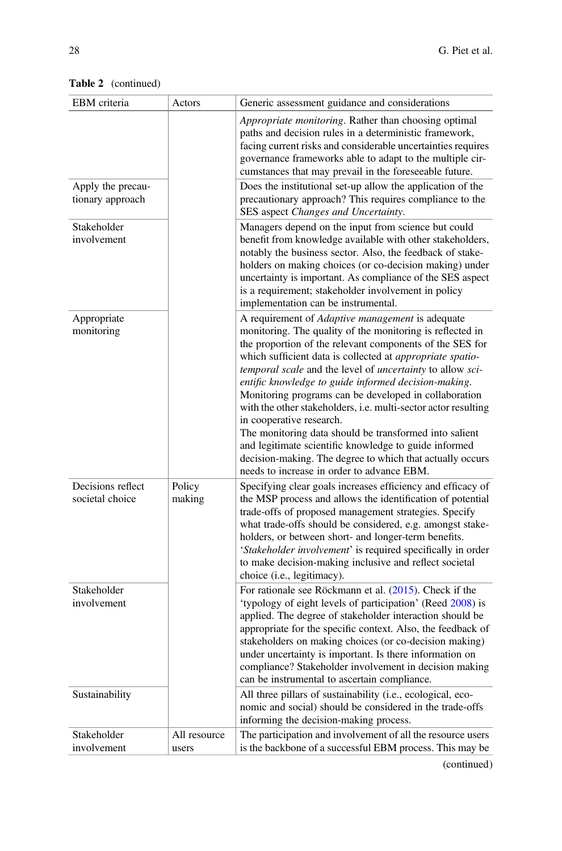|  | <b>Table 2</b> (continued) |
|--|----------------------------|
|--|----------------------------|

| EBM criteria                          | Actors           | Generic assessment guidance and considerations                                                                                                                                                                                                                                                                                                                                                                                                                                                                                                                                                                                                                                                                                                   |
|---------------------------------------|------------------|--------------------------------------------------------------------------------------------------------------------------------------------------------------------------------------------------------------------------------------------------------------------------------------------------------------------------------------------------------------------------------------------------------------------------------------------------------------------------------------------------------------------------------------------------------------------------------------------------------------------------------------------------------------------------------------------------------------------------------------------------|
|                                       |                  | Appropriate monitoring. Rather than choosing optimal<br>paths and decision rules in a deterministic framework,<br>facing current risks and considerable uncertainties requires<br>governance frameworks able to adapt to the multiple cir-<br>cumstances that may prevail in the foreseeable future.                                                                                                                                                                                                                                                                                                                                                                                                                                             |
| Apply the precau-<br>tionary approach |                  | Does the institutional set-up allow the application of the<br>precautionary approach? This requires compliance to the<br>SES aspect Changes and Uncertainty.                                                                                                                                                                                                                                                                                                                                                                                                                                                                                                                                                                                     |
| Stakeholder<br>involvement            |                  | Managers depend on the input from science but could<br>benefit from knowledge available with other stakeholders,                                                                                                                                                                                                                                                                                                                                                                                                                                                                                                                                                                                                                                 |
|                                       |                  | notably the business sector. Also, the feedback of stake-<br>holders on making choices (or co-decision making) under<br>uncertainty is important. As compliance of the SES aspect<br>is a requirement; stakeholder involvement in policy<br>implementation can be instrumental.                                                                                                                                                                                                                                                                                                                                                                                                                                                                  |
| Appropriate<br>monitoring             |                  | A requirement of Adaptive management is adequate<br>monitoring. The quality of the monitoring is reflected in<br>the proportion of the relevant components of the SES for<br>which sufficient data is collected at appropriate spatio-<br>temporal scale and the level of uncertainty to allow sci-<br>entific knowledge to guide informed decision-making.<br>Monitoring programs can be developed in collaboration<br>with the other stakeholders, i.e. multi-sector actor resulting<br>in cooperative research.<br>The monitoring data should be transformed into salient<br>and legitimate scientific knowledge to guide informed<br>decision-making. The degree to which that actually occurs<br>needs to increase in order to advance EBM. |
| Decisions reflect<br>societal choice  | Policy<br>making | Specifying clear goals increases efficiency and efficacy of<br>the MSP process and allows the identification of potential<br>trade-offs of proposed management strategies. Specify<br>what trade-offs should be considered, e.g. amongst stake-<br>holders, or between short- and longer-term benefits.<br>'Stakeholder involvement' is required specifically in order<br>to make decision-making inclusive and reflect societal<br>choice (i.e., legitimacy).                                                                                                                                                                                                                                                                                   |
| Stakeholder<br>involvement            |                  | For rationale see Röckmann et al. (2015). Check if the<br>'typology of eight levels of participation' (Reed 2008) is<br>applied. The degree of stakeholder interaction should be<br>appropriate for the specific context. Also, the feedback of<br>stakeholders on making choices (or co-decision making)<br>under uncertainty is important. Is there information on<br>compliance? Stakeholder involvement in decision making<br>can be instrumental to ascertain compliance.                                                                                                                                                                                                                                                                   |
| Sustainability                        |                  | All three pillars of sustainability (i.e., ecological, eco-<br>nomic and social) should be considered in the trade-offs<br>informing the decision-making process.                                                                                                                                                                                                                                                                                                                                                                                                                                                                                                                                                                                |
| Stakeholder                           | All resource     | The participation and involvement of all the resource users                                                                                                                                                                                                                                                                                                                                                                                                                                                                                                                                                                                                                                                                                      |
| involvement                           | users            | is the backbone of a successful EBM process. This may be                                                                                                                                                                                                                                                                                                                                                                                                                                                                                                                                                                                                                                                                                         |

(continued)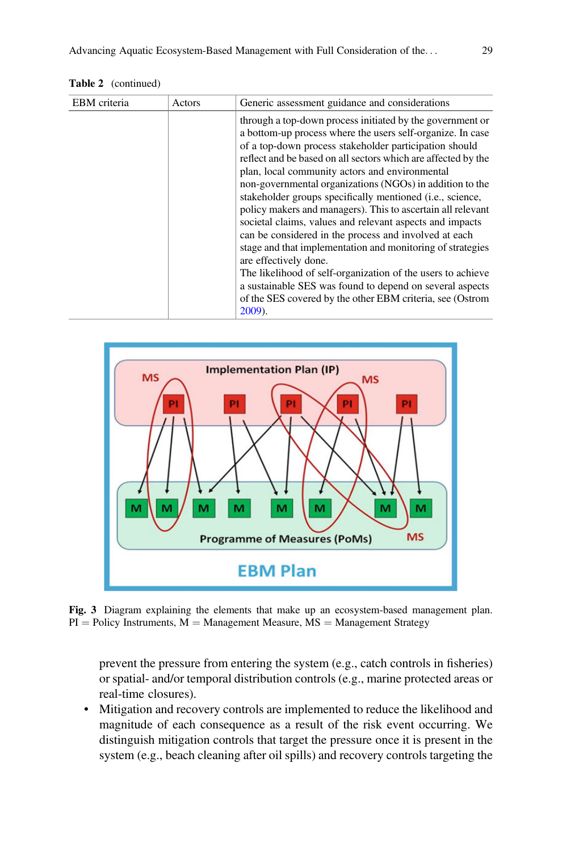| EBM criteria | Actors | Generic assessment guidance and considerations                                                                                                                                                                                                                                                                                                                                                                                                                                                                                                                                                                                                                                                                                                                                                                                                                                                                |
|--------------|--------|---------------------------------------------------------------------------------------------------------------------------------------------------------------------------------------------------------------------------------------------------------------------------------------------------------------------------------------------------------------------------------------------------------------------------------------------------------------------------------------------------------------------------------------------------------------------------------------------------------------------------------------------------------------------------------------------------------------------------------------------------------------------------------------------------------------------------------------------------------------------------------------------------------------|
|              |        | through a top-down process initiated by the government or<br>a bottom-up process where the users self-organize. In case<br>of a top-down process stakeholder participation should<br>reflect and be based on all sectors which are affected by the<br>plan, local community actors and environmental<br>non-governmental organizations (NGOs) in addition to the<br>stakeholder groups specifically mentioned (i.e., science,<br>policy makers and managers). This to ascertain all relevant<br>societal claims, values and relevant aspects and impacts<br>can be considered in the process and involved at each<br>stage and that implementation and monitoring of strategies<br>are effectively done.<br>The likelihood of self-organization of the users to achieve<br>a sustainable SES was found to depend on several aspects<br>of the SES covered by the other EBM criteria, see (Ostrom<br>$2009$ ). |

<span id="page-12-0"></span>

Fig. 3 Diagram explaining the elements that make up an ecosystem-based management plan.  $PI = Policy$  Instruments,  $M =$  Management Measure,  $MS =$  Management Strategy

prevent the pressure from entering the system (e.g., catch controls in fisheries) or spatial- and/or temporal distribution controls (e.g., marine protected areas or real-time closures).

• Mitigation and recovery controls are implemented to reduce the likelihood and magnitude of each consequence as a result of the risk event occurring. We distinguish mitigation controls that target the pressure once it is present in the system (e.g., beach cleaning after oil spills) and recovery controls targeting the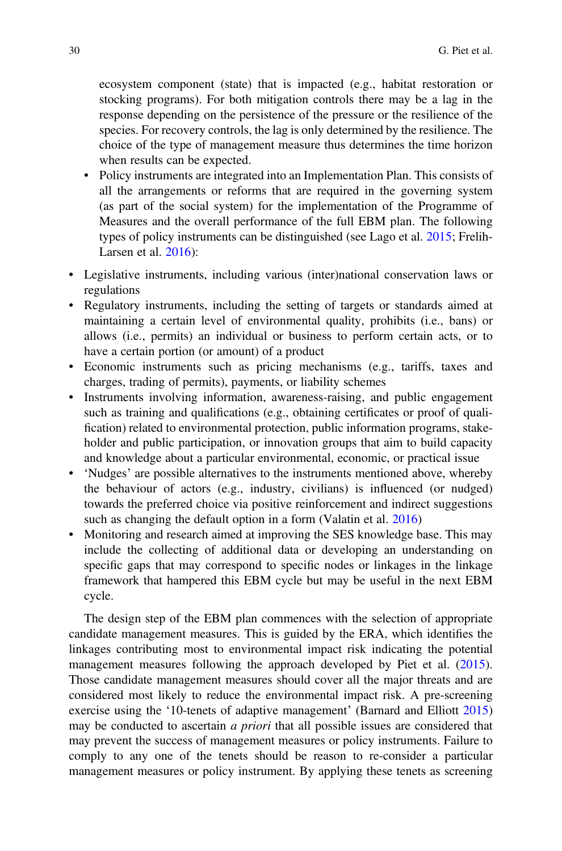ecosystem component (state) that is impacted (e.g., habitat restoration or stocking programs). For both mitigation controls there may be a lag in the response depending on the persistence of the pressure or the resilience of the species. For recovery controls, the lag is only determined by the resilience. The choice of the type of management measure thus determines the time horizon when results can be expected.

- Policy instruments are integrated into an Implementation Plan. This consists of all the arrangements or reforms that are required in the governing system (as part of the social system) for the implementation of the Programme of Measures and the overall performance of the full EBM plan. The following types of policy instruments can be distinguished (see Lago et al. [2015;](#page-18-16) Frelih-Larsen et al. [2016](#page-18-17)):
- Legislative instruments, including various (inter)national conservation laws or regulations
- Regulatory instruments, including the setting of targets or standards aimed at maintaining a certain level of environmental quality, prohibits (i.e., bans) or allows (i.e., permits) an individual or business to perform certain acts, or to have a certain portion (or amount) of a product
- Economic instruments such as pricing mechanisms (e.g., tariffs, taxes and charges, trading of permits), payments, or liability schemes
- Instruments involving information, awareness-raising, and public engagement such as training and qualifications (e.g., obtaining certificates or proof of qualification) related to environmental protection, public information programs, stakeholder and public participation, or innovation groups that aim to build capacity and knowledge about a particular environmental, economic, or practical issue
- 'Nudges' are possible alternatives to the instruments mentioned above, whereby the behaviour of actors (e.g., industry, civilians) is influenced (or nudged) towards the preferred choice via positive reinforcement and indirect suggestions such as changing the default option in a form (Valatin et al. [2016\)](#page-20-4)
- Monitoring and research aimed at improving the SES knowledge base. This may include the collecting of additional data or developing an understanding on specific gaps that may correspond to specific nodes or linkages in the linkage framework that hampered this EBM cycle but may be useful in the next EBM cycle.

The design step of the EBM plan commences with the selection of appropriate candidate management measures. This is guided by the ERA, which identifies the linkages contributing most to environmental impact risk indicating the potential management measures following the approach developed by Piet et al. ([2015\)](#page-19-9). Those candidate management measures should cover all the major threats and are considered most likely to reduce the environmental impact risk. A pre-screening exercise using the '10-tenets of adaptive management' (Barnard and Elliott [2015](#page-16-2)) may be conducted to ascertain *a priori* that all possible issues are considered that may prevent the success of management measures or policy instruments. Failure to comply to any one of the tenets should be reason to re-consider a particular management measures or policy instrument. By applying these tenets as screening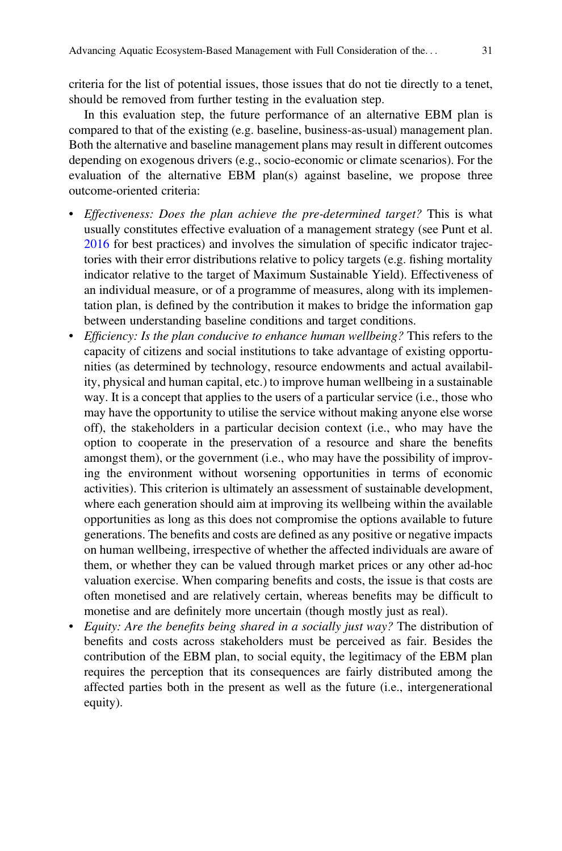criteria for the list of potential issues, those issues that do not tie directly to a tenet, should be removed from further testing in the evaluation step.

In this evaluation step, the future performance of an alternative EBM plan is compared to that of the existing (e.g. baseline, business-as-usual) management plan. Both the alternative and baseline management plans may result in different outcomes depending on exogenous drivers (e.g., socio-economic or climate scenarios). For the evaluation of the alternative EBM plan(s) against baseline, we propose three outcome-oriented criteria:

- Effectiveness: Does the plan achieve the pre-determined target? This is what usually constitutes effective evaluation of a management strategy (see Punt et al. [2016](#page-19-17) for best practices) and involves the simulation of specific indicator trajectories with their error distributions relative to policy targets (e.g. fishing mortality indicator relative to the target of Maximum Sustainable Yield). Effectiveness of an individual measure, or of a programme of measures, along with its implementation plan, is defined by the contribution it makes to bridge the information gap between understanding baseline conditions and target conditions.
- Efficiency: Is the plan conducive to enhance human wellbeing? This refers to the capacity of citizens and social institutions to take advantage of existing opportunities (as determined by technology, resource endowments and actual availability, physical and human capital, etc.) to improve human wellbeing in a sustainable way. It is a concept that applies to the users of a particular service (i.e., those who may have the opportunity to utilise the service without making anyone else worse off), the stakeholders in a particular decision context (i.e., who may have the option to cooperate in the preservation of a resource and share the benefits amongst them), or the government (i.e., who may have the possibility of improving the environment without worsening opportunities in terms of economic activities). This criterion is ultimately an assessment of sustainable development, where each generation should aim at improving its wellbeing within the available opportunities as long as this does not compromise the options available to future generations. The benefits and costs are defined as any positive or negative impacts on human wellbeing, irrespective of whether the affected individuals are aware of them, or whether they can be valued through market prices or any other ad-hoc valuation exercise. When comparing benefits and costs, the issue is that costs are often monetised and are relatively certain, whereas benefits may be difficult to monetise and are definitely more uncertain (though mostly just as real).
- Equity: Are the benefits being shared in a socially just way? The distribution of benefits and costs across stakeholders must be perceived as fair. Besides the contribution of the EBM plan, to social equity, the legitimacy of the EBM plan requires the perception that its consequences are fairly distributed among the affected parties both in the present as well as the future (i.e., intergenerational equity).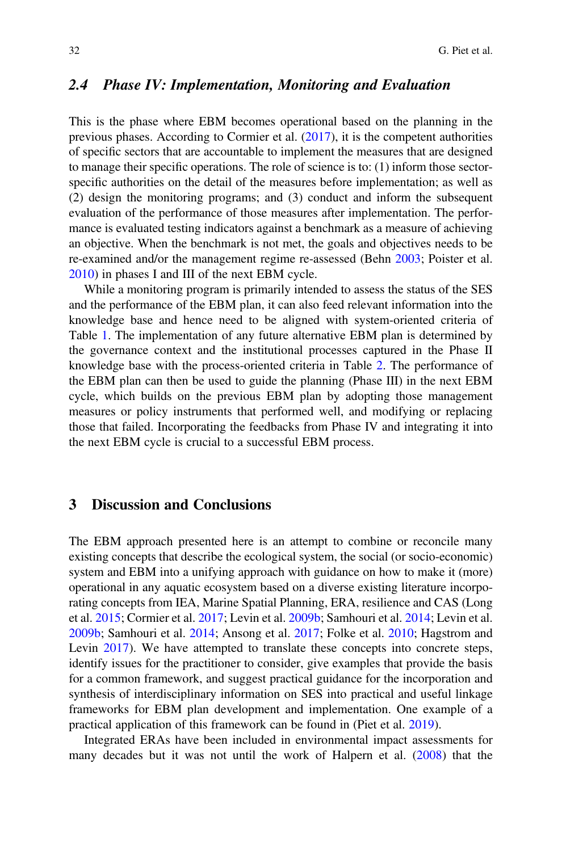#### 2.4 Phase IV: Implementation, Monitoring and Evaluation

This is the phase where EBM becomes operational based on the planning in the previous phases. According to Cormier et al. ([2017\)](#page-17-1), it is the competent authorities of specific sectors that are accountable to implement the measures that are designed to manage their specific operations. The role of science is to: (1) inform those sectorspecific authorities on the detail of the measures before implementation; as well as (2) design the monitoring programs; and (3) conduct and inform the subsequent evaluation of the performance of those measures after implementation. The performance is evaluated testing indicators against a benchmark as a measure of achieving an objective. When the benchmark is not met, the goals and objectives needs to be re-examined and/or the management regime re-assessed (Behn [2003](#page-17-18); Poister et al. [2010\)](#page-19-18) in phases I and III of the next EBM cycle.

While a monitoring program is primarily intended to assess the status of the SES and the performance of the EBM plan, it can also feed relevant information into the knowledge base and hence need to be aligned with system-oriented criteria of Table [1](#page-8-0). The implementation of any future alternative EBM plan is determined by the governance context and the institutional processes captured in the Phase II knowledge base with the process-oriented criteria in Table [2.](#page-10-0) The performance of the EBM plan can then be used to guide the planning (Phase III) in the next EBM cycle, which builds on the previous EBM plan by adopting those management measures or policy instruments that performed well, and modifying or replacing those that failed. Incorporating the feedbacks from Phase IV and integrating it into the next EBM cycle is crucial to a successful EBM process.

#### 3 Discussion and Conclusions

The EBM approach presented here is an attempt to combine or reconcile many existing concepts that describe the ecological system, the social (or socio-economic) system and EBM into a unifying approach with guidance on how to make it (more) operational in any aquatic ecosystem based on a diverse existing literature incorporating concepts from IEA, Marine Spatial Planning, ERA, resilience and CAS (Long et al. [2015;](#page-19-0) Cormier et al. [2017](#page-17-1); Levin et al. [2009b;](#page-19-10) Samhouri et al. [2014;](#page-19-11) Levin et al. [2009b;](#page-19-10) Samhouri et al. [2014](#page-19-11); Ansong et al. [2017](#page-16-0); Folke et al. [2010;](#page-18-2) Hagstrom and Levin [2017\)](#page-18-0). We have attempted to translate these concepts into concrete steps, identify issues for the practitioner to consider, give examples that provide the basis for a common framework, and suggest practical guidance for the incorporation and synthesis of interdisciplinary information on SES into practical and useful linkage frameworks for EBM plan development and implementation. One example of a practical application of this framework can be found in (Piet et al. [2019\)](#page-19-19).

Integrated ERAs have been included in environmental impact assessments for many decades but it was not until the work of Halpern et al. ([2008\)](#page-18-3) that the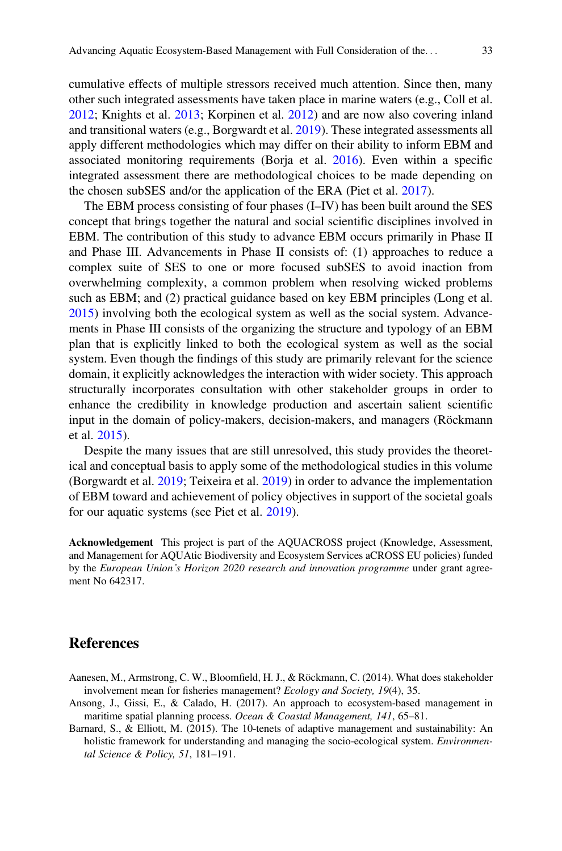cumulative effects of multiple stressors received much attention. Since then, many other such integrated assessments have taken place in marine waters (e.g., Coll et al. [2012;](#page-17-19) Knights et al. [2013;](#page-18-4) Korpinen et al. [2012](#page-18-18)) and are now also covering inland and transitional waters (e.g., Borgwardt et al. [2019](#page-17-12)). These integrated assessments all apply different methodologies which may differ on their ability to inform EBM and associated monitoring requirements (Borja et al. [2016](#page-17-20)). Even within a specific integrated assessment there are methodological choices to be made depending on the chosen subSES and/or the application of the ERA (Piet et al. [2017](#page-19-20)).

The EBM process consisting of four phases (I–IV) has been built around the SES concept that brings together the natural and social scientific disciplines involved in EBM. The contribution of this study to advance EBM occurs primarily in Phase II and Phase III. Advancements in Phase II consists of: (1) approaches to reduce a complex suite of SES to one or more focused subSES to avoid inaction from overwhelming complexity, a common problem when resolving wicked problems such as EBM; and (2) practical guidance based on key EBM principles (Long et al. [2015\)](#page-19-0) involving both the ecological system as well as the social system. Advancements in Phase III consists of the organizing the structure and typology of an EBM plan that is explicitly linked to both the ecological system as well as the social system. Even though the findings of this study are primarily relevant for the science domain, it explicitly acknowledges the interaction with wider society. This approach structurally incorporates consultation with other stakeholder groups in order to enhance the credibility in knowledge production and ascertain salient scientific input in the domain of policy-makers, decision-makers, and managers (Röckmann et al. [2015](#page-19-2)).

Despite the many issues that are still unresolved, this study provides the theoretical and conceptual basis to apply some of the methodological studies in this volume (Borgwardt et al. [2019](#page-17-12); Teixeira et al. [2019](#page-20-0)) in order to advance the implementation of EBM toward and achievement of policy objectives in support of the societal goals for our aquatic systems (see Piet et al. [2019](#page-19-19)).

Acknowledgement This project is part of the AQUACROSS project (Knowledge, Assessment, and Management for AQUAtic Biodiversity and Ecosystem Services aCROSS EU policies) funded by the European Union's Horizon 2020 research and innovation programme under grant agreement No 642317.

#### References

- <span id="page-16-1"></span><span id="page-16-0"></span>Aanesen, M., Armstrong, C. W., Bloomfield, H. J., & Röckmann, C. (2014). What does stakeholder involvement mean for fisheries management? Ecology and Society, 19(4), 35.
- <span id="page-16-2"></span>Ansong, J., Gissi, E., & Calado, H. (2017). An approach to ecosystem-based management in maritime spatial planning process. Ocean & Coastal Management, 141, 65-81.
- Barnard, S., & Elliott, M. (2015). The 10-tenets of adaptive management and sustainability: An holistic framework for understanding and managing the socio-ecological system. Environmental Science & Policy, 51, 181–191.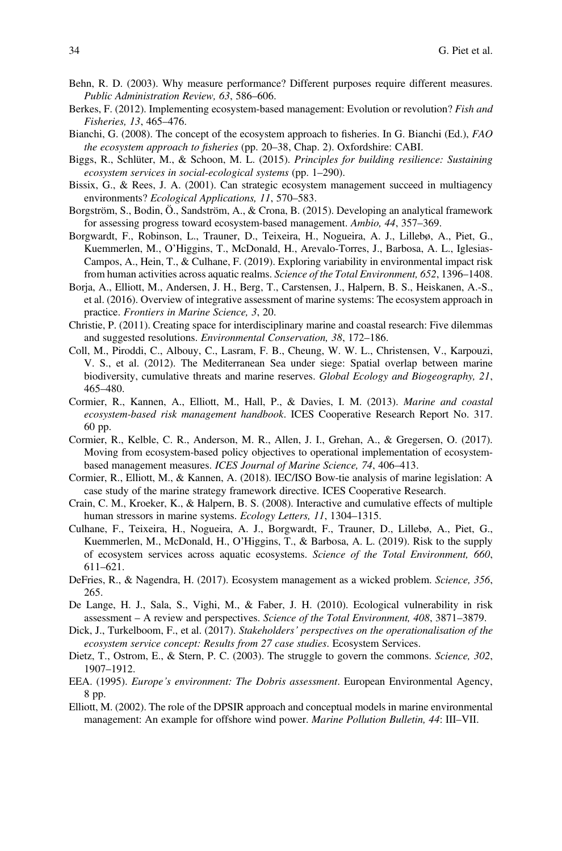- <span id="page-17-18"></span>Behn, R. D. (2003). Why measure performance? Different purposes require different measures. Public Administration Review, 63, 586–606.
- <span id="page-17-6"></span>Berkes, F. (2012). Implementing ecosystem-based management: Evolution or revolution? Fish and Fisheries, 13, 465–476.
- <span id="page-17-4"></span>Bianchi, G. (2008). The concept of the ecosystem approach to fisheries. In G. Bianchi (Ed.), FAO the ecosystem approach to fisheries (pp. 20–38, Chap. 2). Oxfordshire: CABI.
- <span id="page-17-8"></span>Biggs, R., Schlüter, M., & Schoon, M. L. (2015). Principles for building resilience: Sustaining ecosystem services in social-ecological systems (pp. 1–290).
- <span id="page-17-3"></span>Bissix, G., & Rees, J. A. (2001). Can strategic ecosystem management succeed in multiagency environments? Ecological Applications, 11, 570–583.
- <span id="page-17-0"></span>Borgström, S., Bodin, Ö., Sandström, A., & Crona, B. (2015). Developing an analytical framework for assessing progress toward ecosystem-based management. Ambio, 44, 357–369.
- <span id="page-17-12"></span>Borgwardt, F., Robinson, L., Trauner, D., Teixeira, H., Nogueira, A. J., Lillebø, A., Piet, G., Kuemmerlen, M., O'Higgins, T., McDonald, H., Arevalo-Torres, J., Barbosa, A. L., Iglesias-Campos, A., Hein, T., & Culhane, F. (2019). Exploring variability in environmental impact risk from human activities across aquatic realms. Science of the Total Environment, 652, 1396–1408.
- <span id="page-17-20"></span>Borja, A., Elliott, M., Andersen, J. H., Berg, T., Carstensen, J., Halpern, B. S., Heiskanen, A.-S., et al. (2016). Overview of integrative assessment of marine systems: The ecosystem approach in practice. Frontiers in Marine Science, 3, 20.
- <span id="page-17-2"></span>Christie, P. (2011). Creating space for interdisciplinary marine and coastal research: Five dilemmas and suggested resolutions. Environmental Conservation, 38, 172–186.
- <span id="page-17-19"></span>Coll, M., Piroddi, C., Albouy, C., Lasram, F. B., Cheung, W. W. L., Christensen, V., Karpouzi, V. S., et al. (2012). The Mediterranean Sea under siege: Spatial overlap between marine biodiversity, cumulative threats and marine reserves. Global Ecology and Biogeography, 21, 465–480.
- <span id="page-17-15"></span>Cormier, R., Kannen, A., Elliott, M., Hall, P., & Davies, I. M. (2013). Marine and coastal ecosystem-based risk management handbook. ICES Cooperative Research Report No. 317. 60 pp.
- <span id="page-17-1"></span>Cormier, R., Kelble, C. R., Anderson, M. R., Allen, J. I., Grehan, A., & Gregersen, O. (2017). Moving from ecosystem-based policy objectives to operational implementation of ecosystembased management measures. ICES Journal of Marine Science, 74, 406-413.
- <span id="page-17-16"></span>Cormier, R., Elliott, M., & Kannen, A. (2018). IEC/ISO Bow-tie analysis of marine legislation: A case study of the marine strategy framework directive. ICES Cooperative Research.
- <span id="page-17-17"></span>Crain, C. M., Kroeker, K., & Halpern, B. S. (2008). Interactive and cumulative effects of multiple human stressors in marine systems. Ecology Letters, 11, 1304-1315.
- <span id="page-17-13"></span>Culhane, F., Teixeira, H., Nogueira, A. J., Borgwardt, F., Trauner, D., Lillebø, A., Piet, G., Kuemmerlen, M., McDonald, H., O'Higgins, T., & Barbosa, A. L. (2019). Risk to the supply of ecosystem services across aquatic ecosystems. Science of the Total Environment, 660, 611–621.
- <span id="page-17-5"></span>DeFries, R., & Nagendra, H. (2017). Ecosystem management as a wicked problem. Science, 356, 265.
- <span id="page-17-7"></span>De Lange, H. J., Sala, S., Vighi, M., & Faber, J. H. (2010). Ecological vulnerability in risk assessment – A review and perspectives. Science of the Total Environment, 408, 3871–3879.
- <span id="page-17-14"></span>Dick, J., Turkelboom, F., et al. (2017). Stakeholders' perspectives on the operationalisation of the ecosystem service concept: Results from 27 case studies. Ecosystem Services.
- <span id="page-17-9"></span>Dietz, T., Ostrom, E., & Stern, P. C. (2003). The struggle to govern the commons. Science, 302, 1907–1912.
- <span id="page-17-10"></span>EEA. (1995). Europe's environment: The Dobris assessment. European Environmental Agency, 8 pp.
- <span id="page-17-11"></span>Elliott, M. (2002). The role of the DPSIR approach and conceptual models in marine environmental management: An example for offshore wind power. *Marine Pollution Bulletin*, 44: III–VII.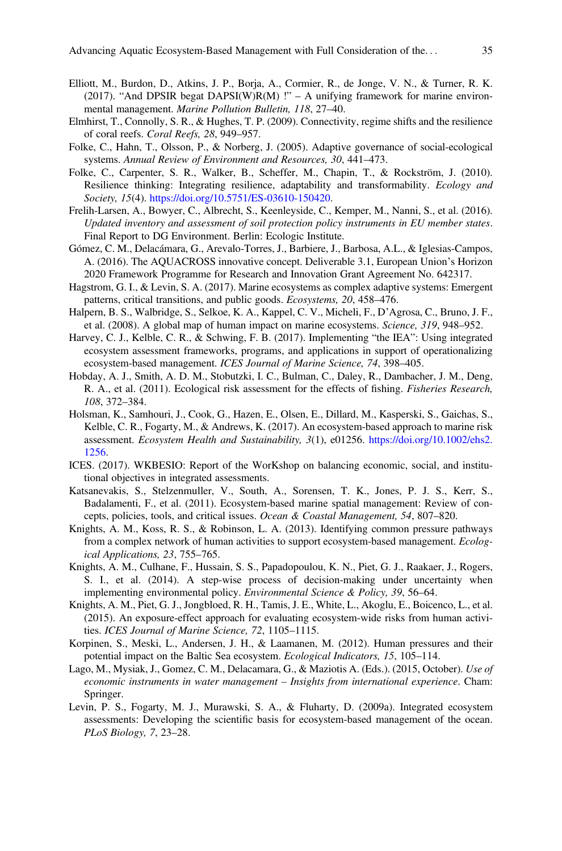- <span id="page-18-5"></span>Elliott, M., Burdon, D., Atkins, J. P., Borja, A., Cormier, R., de Jonge, V. N., & Turner, R. K. (2017). "And DPSIR begat DAPSI(W)R(M) !" – A unifying framework for marine environmental management. Marine Pollution Bulletin, 118, 27–40.
- <span id="page-18-15"></span>Elmhirst, T., Connolly, S. R., & Hughes, T. P. (2009). Connectivity, regime shifts and the resilience of coral reefs. Coral Reefs, 28, 949–957.
- <span id="page-18-1"></span>Folke, C., Hahn, T., Olsson, P., & Norberg, J. (2005). Adaptive governance of social-ecological systems. Annual Review of Environment and Resources, 30, 441–473.
- <span id="page-18-2"></span>Folke, C., Carpenter, S. R., Walker, B., Scheffer, M., Chapin, T., & Rockström, J. (2010). Resilience thinking: Integrating resilience, adaptability and transformability. Ecology and Society, 15(4). <https://doi.org/10.5751/ES-03610-150420>.
- <span id="page-18-17"></span>Frelih-Larsen, A., Bowyer, C., Albrecht, S., Keenleyside, C., Kemper, M., Nanni, S., et al. (2016). Updated inventory and assessment of soil protection policy instruments in EU member states. Final Report to DG Environment. Berlin: Ecologic Institute.
- <span id="page-18-12"></span>Gómez, C. M., Delacámara, G., Arevalo-Torres, J., Barbiere, J., Barbosa, A.L., & Iglesias-Campos, A. (2016). The AQUACROSS innovative concept. Deliverable 3.1, European Union's Horizon 2020 Framework Programme for Research and Innovation Grant Agreement No. 642317.
- <span id="page-18-0"></span>Hagstrom, G. I., & Levin, S. A. (2017). Marine ecosystems as complex adaptive systems: Emergent patterns, critical transitions, and public goods. Ecosystems, 20, 458–476.
- <span id="page-18-3"></span>Halpern, B. S., Walbridge, S., Selkoe, K. A., Kappel, C. V., Micheli, F., D'Agrosa, C., Bruno, J. F., et al. (2008). A global map of human impact on marine ecosystems. Science, 319, 948–952.
- <span id="page-18-10"></span>Harvey, C. J., Kelble, C. R., & Schwing, F. B. (2017). Implementing "the IEA": Using integrated ecosystem assessment frameworks, programs, and applications in support of operationalizing ecosystem-based management. ICES Journal of Marine Science, 74, 398-405.
- <span id="page-18-14"></span>Hobday, A. J., Smith, A. D. M., Stobutzki, I. C., Bulman, C., Daley, R., Dambacher, J. M., Deng, R. A., et al. (2011). Ecological risk assessment for the effects of fishing. Fisheries Research, 108, 372–384.
- <span id="page-18-13"></span>Holsman, K., Samhouri, J., Cook, G., Hazen, E., Olsen, E., Dillard, M., Kasperski, S., Gaichas, S., Kelble, C. R., Fogarty, M., & Andrews, K. (2017). An ecosystem-based approach to marine risk assessment. Ecosystem Health and Sustainability, 3(1), e01256. [https://doi.org/10.1002/ehs2.](https://doi.org/10.1002/ehs2.1256) [1256.](https://doi.org/10.1002/ehs2.1256)
- <span id="page-18-11"></span>ICES. (2017). WKBESIO: Report of the WorKshop on balancing economic, social, and institutional objectives in integrated assessments.
- <span id="page-18-8"></span>Katsanevakis, S., Stelzenmuller, V., South, A., Sorensen, T. K., Jones, P. J. S., Kerr, S., Badalamenti, F., et al. (2011). Ecosystem-based marine spatial management: Review of concepts, policies, tools, and critical issues. Ocean & Coastal Management, 54, 807-820.
- <span id="page-18-4"></span>Knights, A. M., Koss, R. S., & Robinson, L. A. (2013). Identifying common pressure pathways from a complex network of human activities to support ecosystem-based management. Ecological Applications, 23, 755–765.
- <span id="page-18-6"></span>Knights, A. M., Culhane, F., Hussain, S. S., Papadopoulou, K. N., Piet, G. J., Raakaer, J., Rogers, S. I., et al. (2014). A step-wise process of decision-making under uncertainty when implementing environmental policy. Environmental Science & Policy, 39, 56–64.
- <span id="page-18-7"></span>Knights, A. M., Piet, G. J., Jongbloed, R. H., Tamis, J. E., White, L., Akoglu, E., Boicenco, L., et al. (2015). An exposure-effect approach for evaluating ecosystem-wide risks from human activities. ICES Journal of Marine Science, 72, 1105–1115.
- <span id="page-18-18"></span>Korpinen, S., Meski, L., Andersen, J. H., & Laamanen, M. (2012). Human pressures and their potential impact on the Baltic Sea ecosystem. Ecological Indicators, 15, 105–114.
- <span id="page-18-16"></span>Lago, M., Mysiak, J., Gomez, C. M., Delacamara, G., & Maziotis A. (Eds.). (2015, October). Use of economic instruments in water management – Insights from international experience. Cham: Springer.
- <span id="page-18-9"></span>Levin, P. S., Fogarty, M. J., Murawski, S. A., & Fluharty, D. (2009a). Integrated ecosystem assessments: Developing the scientific basis for ecosystem-based management of the ocean. PLoS Biology, 7, 23–28.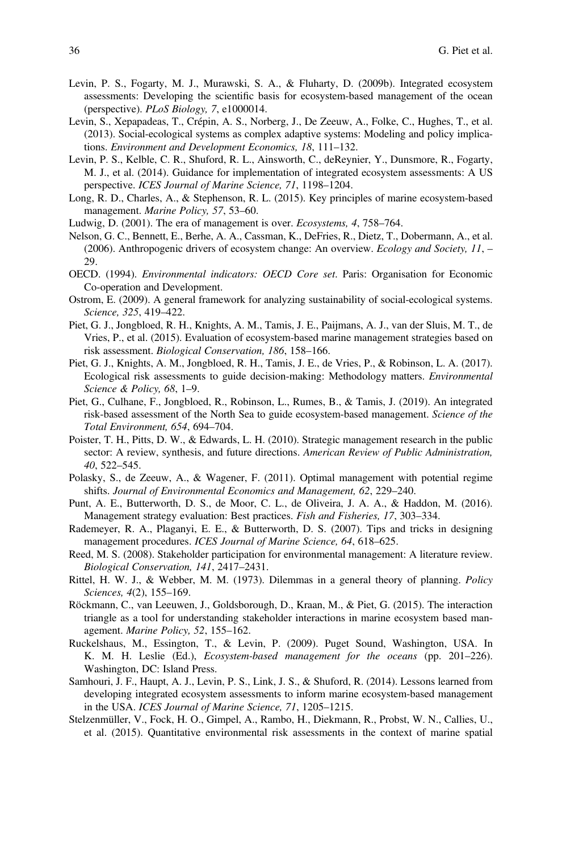- <span id="page-19-10"></span>Levin, P. S., Fogarty, M. J., Murawski, S. A., & Fluharty, D. (2009b). Integrated ecosystem assessments: Developing the scientific basis for ecosystem-based management of the ocean (perspective). PLoS Biology, 7, e1000014.
- <span id="page-19-16"></span>Levin, S., Xepapadeas, T., Crépin, A. S., Norberg, J., De Zeeuw, A., Folke, C., Hughes, T., et al. (2013). Social-ecological systems as complex adaptive systems: Modeling and policy implications. Environment and Development Economics, 18, 111–132.
- <span id="page-19-12"></span>Levin, P. S., Kelble, C. R., Shuford, R. L., Ainsworth, C., deReynier, Y., Dunsmore, R., Fogarty, M. J., et al. (2014). Guidance for implementation of integrated ecosystem assessments: A US perspective. ICES Journal of Marine Science, 71, 1198–1204.
- <span id="page-19-0"></span>Long, R. D., Charles, A., & Stephenson, R. L. (2015). Key principles of marine ecosystem-based management. Marine Policy, 57, 53-60.
- <span id="page-19-4"></span>Ludwig, D. (2001). The era of management is over. Ecosystems, 4, 758–764.
- <span id="page-19-7"></span>Nelson, G. C., Bennett, E., Berhe, A. A., Cassman, K., DeFries, R., Dietz, T., Dobermann, A., et al. (2006). Anthropogenic drivers of ecosystem change: An overview. *Ecology and Society*,  $11$ ,  $-$ 29.
- <span id="page-19-8"></span>OECD. (1994). Environmental indicators: OECD Core set. Paris: Organisation for Economic Co-operation and Development.
- <span id="page-19-6"></span>Ostrom, E. (2009). A general framework for analyzing sustainability of social-ecological systems. Science, 325, 419–422.
- <span id="page-19-9"></span>Piet, G. J., Jongbloed, R. H., Knights, A. M., Tamis, J. E., Paijmans, A. J., van der Sluis, M. T., de Vries, P., et al. (2015). Evaluation of ecosystem-based marine management strategies based on risk assessment. Biological Conservation, 186, 158–166.
- <span id="page-19-20"></span>Piet, G. J., Knights, A. M., Jongbloed, R. H., Tamis, J. E., de Vries, P., & Robinson, L. A. (2017). Ecological risk assessments to guide decision-making: Methodology matters. Environmental Science & Policy, 68, 1–9.
- <span id="page-19-19"></span>Piet, G., Culhane, F., Jongbloed, R., Robinson, L., Rumes, B., & Tamis, J. (2019). An integrated risk-based assessment of the North Sea to guide ecosystem-based management. Science of the Total Environment, 654, 694–704.
- <span id="page-19-18"></span>Poister, T. H., Pitts, D. W., & Edwards, L. H. (2010). Strategic management research in the public sector: A review, synthesis, and future directions. American Review of Public Administration, 40, 522–545.
- <span id="page-19-5"></span>Polasky, S., de Zeeuw, A., & Wagener, F. (2011). Optimal management with potential regime shifts. Journal of Environmental Economics and Management, 62, 229–240.
- <span id="page-19-17"></span>Punt, A. E., Butterworth, D. S., de Moor, C. L., de Oliveira, J. A. A., & Haddon, M. (2016). Management strategy evaluation: Best practices. Fish and Fisheries, 17, 303–334.
- <span id="page-19-14"></span>Rademeyer, R. A., Plaganyi, E. E., & Butterworth, D. S. (2007). Tips and tricks in designing management procedures. ICES Journal of Marine Science, 64, 618–625.
- <span id="page-19-15"></span>Reed, M. S. (2008). Stakeholder participation for environmental management: A literature review. Biological Conservation, 141, 2417–2431.
- <span id="page-19-3"></span>Rittel, H. W. J., & Webber, M. M. (1973). Dilemmas in a general theory of planning. Policy Sciences, 4(2), 155–169.
- <span id="page-19-2"></span>Röckmann, C., van Leeuwen, J., Goldsborough, D., Kraan, M., & Piet, G. (2015). The interaction triangle as a tool for understanding stakeholder interactions in marine ecosystem based management. Marine Policy, 52, 155–162.
- <span id="page-19-1"></span>Ruckelshaus, M., Essington, T., & Levin, P. (2009). Puget Sound, Washington, USA. In K. M. H. Leslie (Ed.), *Ecosystem-based management for the oceans* (pp. 201-226). Washington, DC: Island Press.
- <span id="page-19-11"></span>Samhouri, J. F., Haupt, A. J., Levin, P. S., Link, J. S., & Shuford, R. (2014). Lessons learned from developing integrated ecosystem assessments to inform marine ecosystem-based management in the USA. ICES Journal of Marine Science, 71, 1205–1215.
- <span id="page-19-13"></span>Stelzenmüller, V., Fock, H. O., Gimpel, A., Rambo, H., Diekmann, R., Probst, W. N., Callies, U., et al. (2015). Quantitative environmental risk assessments in the context of marine spatial